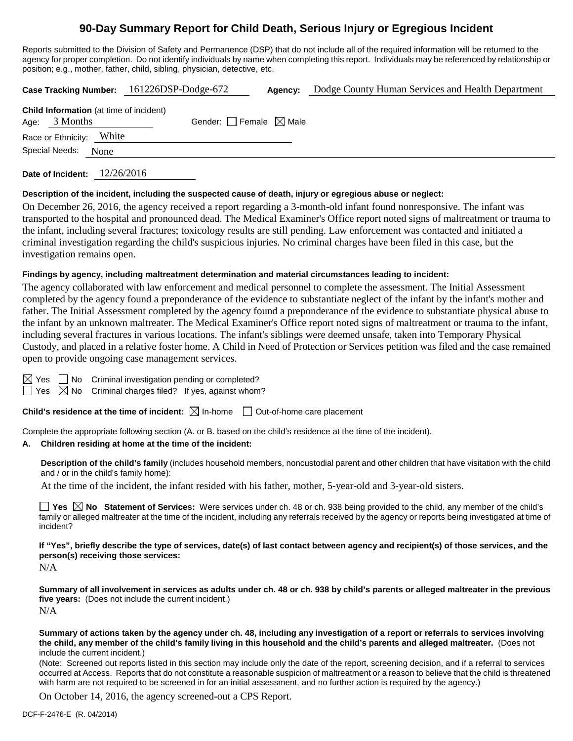# **90-Day Summary Report for Child Death, Serious Injury or Egregious Incident**

Reports submitted to the Division of Safety and Permanence (DSP) that do not include all of the required information will be returned to the agency for proper completion. Do not identify individuals by name when completing this report. Individuals may be referenced by relationship or position; e.g., mother, father, child, sibling, physician, detective, etc.

| Case Tracking Number: 161226DSP-Dodge-672                         |      |                                 | Agency: | Dodge County Human Services and Health Department |
|-------------------------------------------------------------------|------|---------------------------------|---------|---------------------------------------------------|
| <b>Child Information</b> (at time of incident)<br>Age: $3$ Months |      | Gender: Female $\boxtimes$ Male |         |                                                   |
| Race or Ethnicity: White                                          |      |                                 |         |                                                   |
| Special Needs:                                                    | None |                                 |         |                                                   |
|                                                                   |      |                                 |         |                                                   |

**Date of Incident:** 12/26/2016

#### **Description of the incident, including the suspected cause of death, injury or egregious abuse or neglect:**

On December 26, 2016, the agency received a report regarding a 3-month-old infant found nonresponsive. The infant was transported to the hospital and pronounced dead. The Medical Examiner's Office report noted signs of maltreatment or trauma to the infant, including several fractures; toxicology results are still pending. Law enforcement was contacted and initiated a criminal investigation regarding the child's suspicious injuries. No criminal charges have been filed in this case, but the investigation remains open.

#### **Findings by agency, including maltreatment determination and material circumstances leading to incident:**

The agency collaborated with law enforcement and medical personnel to complete the assessment. The Initial Assessment completed by the agency found a preponderance of the evidence to substantiate neglect of the infant by the infant's mother and father. The Initial Assessment completed by the agency found a preponderance of the evidence to substantiate physical abuse to the infant by an unknown maltreater. The Medical Examiner's Office report noted signs of maltreatment or trauma to the infant, including several fractures in various locations. The infant's siblings were deemed unsafe, taken into Temporary Physical Custody, and placed in a relative foster home. A Child in Need of Protection or Services petition was filed and the case remained open to provide ongoing case management services.

 $\Box$  No Criminal investigation pending or completed?

 $\boxtimes$  No Criminal charges filed? If yes, against whom?

**Child's residence at the time of incident:** ⊠ In-home □ Out-of-home care placement

Complete the appropriate following section (A. or B. based on the child's residence at the time of the incident).

#### **A. Children residing at home at the time of the incident:**

**Description of the child's family** (includes household members, noncustodial parent and other children that have visitation with the child and / or in the child's family home):

At the time of the incident, the infant resided with his father, mother, 5-year-old and 3-year-old sisters.

■ Yes **No** Statement of Services: Were services under ch. 48 or ch. 938 being provided to the child, any member of the child's family or alleged maltreater at the time of the incident, including any referrals received by the agency or reports being investigated at time of incident?

**If "Yes", briefly describe the type of services, date(s) of last contact between agency and recipient(s) of those services, and the person(s) receiving those services:**

N/A

**Summary of all involvement in services as adults under ch. 48 or ch. 938 by child's parents or alleged maltreater in the previous five years:** (Does not include the current incident.) N/A

**Summary of actions taken by the agency under ch. 48, including any investigation of a report or referrals to services involving the child, any member of the child's family living in this household and the child's parents and alleged maltreater.** (Does not include the current incident.)

(Note: Screened out reports listed in this section may include only the date of the report, screening decision, and if a referral to services occurred at Access. Reports that do not constitute a reasonable suspicion of maltreatment or a reason to believe that the child is threatened with harm are not required to be screened in for an initial assessment, and no further action is required by the agency.)

On October 14, 2016, the agency screened-out a CPS Report.